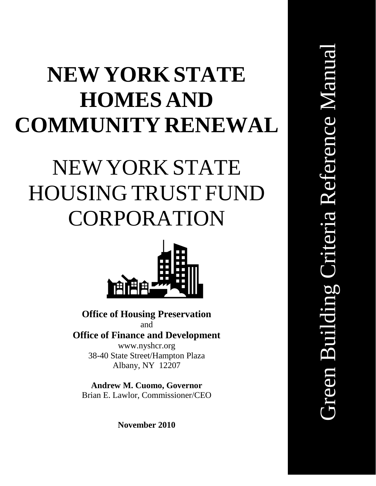# **NEWYORK STATE HOMES AND COMMUNITY RENEWAL**

# NEW YORK STATE HOUSING TRUST FUND CORPORATION



**Office of Housing Preservation** and

**Office of Finance and Development** www.nyshcr.org 38-40 State Street/Hampton Plaza Albany, NY 12207

**Andrew M. Cuomo, Governor** Brian E. Lawlor, Commissioner/CEO

**November 2010**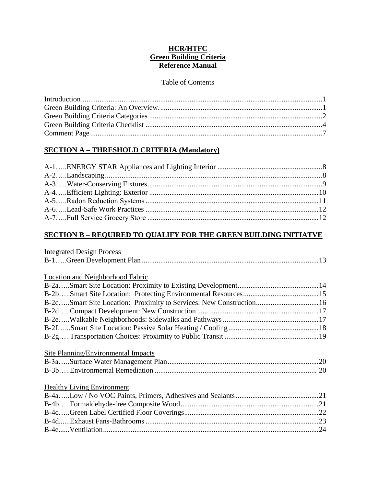# **HCR/HTFC Green Building Criteria Reference Manual**

# Table of Contents

# **SECTION A – THRESHOLD CRITERIA (Mandatory)**

# **SECTION B – REQUIRED TO QUALIFY FOR THE GREEN BUILDING INITIATVE**

#### Integrated Design Process

# Location and Neighborhood Fabric

# Site Planning/Environmental Impacts

# Healthy Living Environment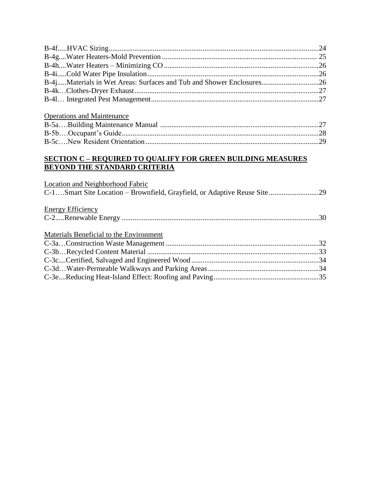| B-4jMaterials in Wet Areas: Surfaces and Tub and Shower Enclosures26                                      |  |
|-----------------------------------------------------------------------------------------------------------|--|
|                                                                                                           |  |
|                                                                                                           |  |
| <b>Operations and Maintenance</b>                                                                         |  |
|                                                                                                           |  |
|                                                                                                           |  |
|                                                                                                           |  |
| <b>SECTION C - REQUIRED TO QUALIFY FOR GREEN BUILDING MEASURES</b><br><b>BEYOND THE STANDARD CRITERIA</b> |  |
| <b>Location and Neighborhood Fabric</b>                                                                   |  |
| C-1Smart Site Location - Brownfield, Grayfield, or Adaptive Reuse Site29                                  |  |
| <b>Energy Efficiency</b>                                                                                  |  |
|                                                                                                           |  |
| Materials Beneficial to the Environment                                                                   |  |
|                                                                                                           |  |
|                                                                                                           |  |
|                                                                                                           |  |
|                                                                                                           |  |
|                                                                                                           |  |
|                                                                                                           |  |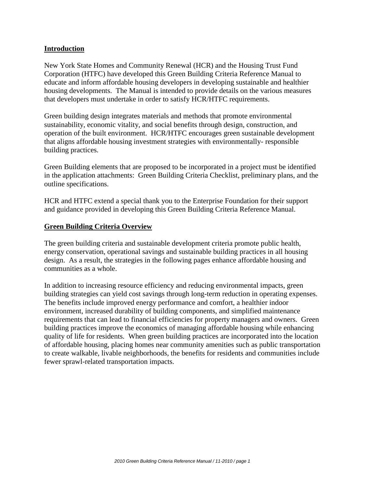#### **Introduction**

New York State Homes and Community Renewal (HCR) and the Housing Trust Fund Corporation (HTFC) have developed this Green Building Criteria Reference Manual to educate and inform affordable housing developers in developing sustainable and healthier housing developments. The Manual is intended to provide details on the various measures that developers must undertake in order to satisfy HCR/HTFC requirements.

Green building design integrates materials and methods that promote environmental sustainability, economic vitality, and social benefits through design, construction, and operation of the built environment. HCR/HTFC encourages green sustainable development that aligns affordable housing investment strategies with environmentally- responsible building practices.

Green Building elements that are proposed to be incorporated in a project must be identified in the application attachments: Green Building Criteria Checklist, preliminary plans, and the outline specifications.

HCR and HTFC extend a special thank you to the Enterprise Foundation for their support and guidance provided in developing this Green Building Criteria Reference Manual.

#### **Green Building Criteria Overview**

The green building criteria and sustainable development criteria promote public health, energy conservation, operational savings and sustainable building practices in all housing design. As a result, the strategies in the following pages enhance affordable housing and communities as a whole.

In addition to increasing resource efficiency and reducing environmental impacts, green building strategies can yield cost savings through long-term reduction in operating expenses. The benefits include improved energy performance and comfort, a healthier indoor environment, increased durability of building components, and simplified maintenance requirements that can lead to financial efficiencies for property managers and owners. Green building practices improve the economics of managing affordable housing while enhancing quality of life for residents. When green building practices are incorporated into the location of affordable housing, placing homes near community amenities such as public transportation to create walkable, livable neighborhoods, the benefits for residents and communities include fewer sprawl-related transportation impacts.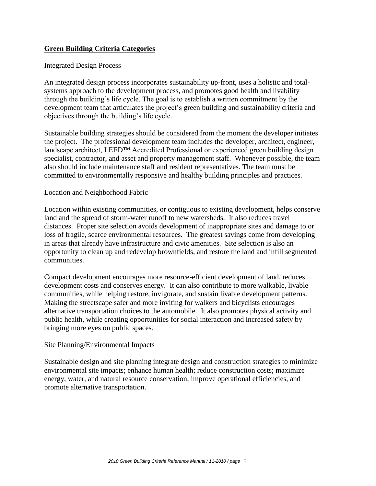# **Green Building Criteria Categories**

#### Integrated Design Process

An integrated design process incorporates sustainability up-front, uses a holistic and totalsystems approach to the development process, and promotes good health and livability through the building's life cycle. The goal is to establish a written commitment by the development team that articulates the project's green building and sustainability criteria and objectives through the building's life cycle.

Sustainable building strategies should be considered from the moment the developer initiates the project. The professional development team includes the developer, architect, engineer, landscape architect, LEED™ Accredited Professional or experienced green building design specialist, contractor, and asset and property management staff. Whenever possible, the team also should include maintenance staff and resident representatives. The team must be committed to environmentally responsive and healthy building principles and practices.

#### Location and Neighborhood Fabric

Location within existing communities, or contiguous to existing development, helps conserve land and the spread of storm-water runoff to new watersheds. It also reduces travel distances. Proper site selection avoids development of inappropriate sites and damage to or loss of fragile, scarce environmental resources. The greatest savings come from developing in areas that already have infrastructure and civic amenities. Site selection is also an opportunity to clean up and redevelop brownfields, and restore the land and infill segmented communities.

Compact development encourages more resource-efficient development of land, reduces development costs and conserves energy. It can also contribute to more walkable, livable communities, while helping restore, invigorate, and sustain livable development patterns. Making the streetscape safer and more inviting for walkers and bicyclists encourages alternative transportation choices to the automobile. It also promotes physical activity and public health, while creating opportunities for social interaction and increased safety by bringing more eyes on public spaces.

#### Site Planning/Environmental Impacts

Sustainable design and site planning integrate design and construction strategies to minimize environmental site impacts; enhance human health; reduce construction costs; maximize energy, water, and natural resource conservation; improve operational efficiencies, and promote alternative transportation.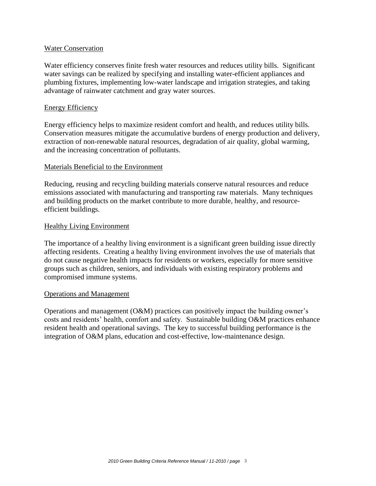#### Water Conservation

Water efficiency conserves finite fresh water resources and reduces utility bills. Significant water savings can be realized by specifying and installing water-efficient appliances and plumbing fixtures, implementing low-water landscape and irrigation strategies, and taking advantage of rainwater catchment and gray water sources.

#### Energy Efficiency

Energy efficiency helps to maximize resident comfort and health, and reduces utility bills. Conservation measures mitigate the accumulative burdens of energy production and delivery, extraction of non-renewable natural resources, degradation of air quality, global warming, and the increasing concentration of pollutants.

#### Materials Beneficial to the Environment

Reducing, reusing and recycling building materials conserve natural resources and reduce emissions associated with manufacturing and transporting raw materials. Many techniques and building products on the market contribute to more durable, healthy, and resourceefficient buildings.

#### Healthy Living Environment

The importance of a healthy living environment is a significant green building issue directly affecting residents. Creating a healthy living environment involves the use of materials that do not cause negative health impacts for residents or workers, especially for more sensitive groups such as children, seniors, and individuals with existing respiratory problems and compromised immune systems.

#### Operations and Management

Operations and management (O&M) practices can positively impact the building owner's costs and residents' health, comfort and safety. Sustainable building O&M practices enhance resident health and operational savings. The key to successful building performance is the integration of O&M plans, education and cost-effective, low-maintenance design.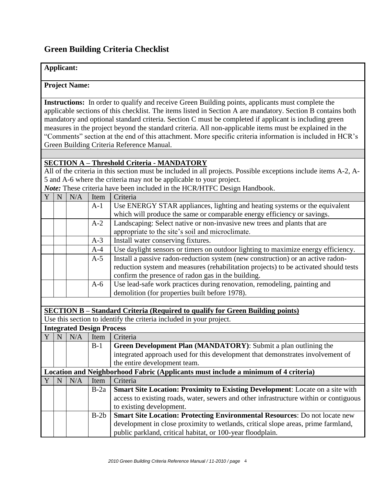# **Green Building Criteria Checklist**

#### **Applicant:**

#### **Project Name:**

**Instructions:** In order to qualify and receive Green Building points, applicants must complete the applicable sections of this checklist. The items listed in Section A are mandatory. Section B contains both mandatory and optional standard criteria. Section C must be completed if applicant is including green measures in the project beyond the standard criteria. All non-applicable items must be explained in the "Comments" section at the end of this attachment. More specific criteria information is included in HCR's Green Building Criteria Reference Manual.

# **SECTION A – Threshold Criteria - MANDATORY**

All of the criteria in this section must be included in all projects. Possible exceptions include items A-2, A-5 and A-6 where the criteria may not be applicable to your project.

*Note:* These criteria have been included in the HCR/HTFC Design Handbook.

|  | N/A | Item  | Criteria                                                                             |  |
|--|-----|-------|--------------------------------------------------------------------------------------|--|
|  |     | $A-1$ | Use ENERGY STAR appliances, lighting and heating systems or the equivalent           |  |
|  |     |       | which will produce the same or comparable energy efficiency or savings.              |  |
|  |     | $A-2$ | Landscaping: Select native or non-invasive new trees and plants that are             |  |
|  |     |       | appropriate to the site's soil and microclimate.                                     |  |
|  |     | $A-3$ | Install water conserving fixtures.                                                   |  |
|  |     | $A-4$ | Use daylight sensors or timers on outdoor lighting to maximize energy efficiency.    |  |
|  |     | $A-5$ | Install a passive radon-reduction system (new construction) or an active radon-      |  |
|  |     |       | reduction system and measures (rehabilitation projects) to be activated should tests |  |
|  |     |       | confirm the presence of radon gas in the building.                                   |  |
|  |     | $A-6$ | Use lead-safe work practices during renovation, remodeling, painting and             |  |
|  |     |       | demolition (for properties built before 1978).                                       |  |

**SECTION B – Standard Criteria (Required to qualify for Green Building points)**

Use this section to identify the criteria included in your project.

|                | <b>Integrated Design Process</b> |     |        |                                                                                       |  |
|----------------|----------------------------------|-----|--------|---------------------------------------------------------------------------------------|--|
| $\overline{Y}$ | N                                | N/A | Item   | Criteria                                                                              |  |
|                |                                  |     | $B-1$  | Green Development Plan (MANDATORY): Submit a plan outlining the                       |  |
|                |                                  |     |        | integrated approach used for this development that demonstrates involvement of        |  |
|                |                                  |     |        | the entire development team.                                                          |  |
|                |                                  |     |        | Location and Neighborhood Fabric (Applicants must include a minimum of 4 criteria)    |  |
|                | N                                | N/A | Item   | Criteria                                                                              |  |
|                |                                  |     | $B-2a$ | <b>Smart Site Location: Proximity to Existing Development:</b> Locate on a site with  |  |
|                |                                  |     |        | access to existing roads, water, sewers and other infrastructure within or contiguous |  |
|                |                                  |     |        | to existing development.                                                              |  |
|                |                                  |     | $B-2b$ | Smart Site Location: Protecting Environmental Resources: Do not locate new            |  |
|                |                                  |     |        | development in close proximity to wetlands, critical slope areas, prime farmland,     |  |
|                |                                  |     |        | public parkland, critical habitat, or 100-year floodplain.                            |  |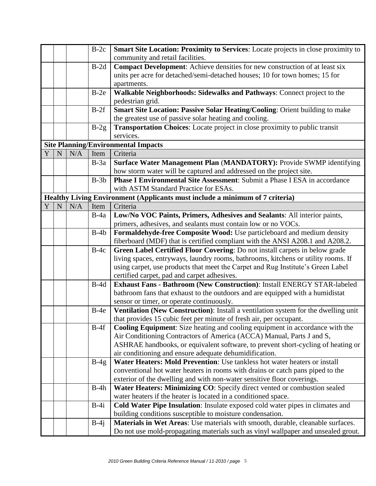|   |             |     | $B-2c$ | Smart Site Location: Proximity to Services: Locate projects in close proximity to   |  |
|---|-------------|-----|--------|-------------------------------------------------------------------------------------|--|
|   |             |     |        | community and retail facilities.                                                    |  |
|   |             |     | $B-2d$ | <b>Compact Development:</b> Achieve densities for new construction of at least six  |  |
|   |             |     |        | units per acre for detached/semi-detached houses; 10 for town homes; 15 for         |  |
|   |             |     |        | apartments.                                                                         |  |
|   |             |     | $B-2e$ | Walkable Neighborhoods: Sidewalks and Pathways: Connect project to the              |  |
|   |             |     |        | pedestrian grid.                                                                    |  |
|   |             |     | $B-2f$ | Smart Site Location: Passive Solar Heating/Cooling: Orient building to make         |  |
|   |             |     |        | the greatest use of passive solar heating and cooling.                              |  |
|   |             |     | $B-2g$ | Transportation Choices: Locate project in close proximity to public transit         |  |
|   |             |     |        | services.                                                                           |  |
|   |             |     |        | <b>Site Planning/Environmental Impacts</b>                                          |  |
| Y | $\mathbf N$ | N/A | Item   | Criteria                                                                            |  |
|   |             |     | $B-3a$ | Surface Water Management Plan (MANDATORY): Provide SWMP identifying                 |  |
|   |             |     |        | how storm water will be captured and addressed on the project site.                 |  |
|   |             |     | $B-3b$ | <b>Phase I Environmental Site Assessment: Submit a Phase I ESA in accordance</b>    |  |
|   |             |     |        | with ASTM Standard Practice for ESAs.                                               |  |
|   |             |     |        | Healthy Living Environment (Applicants must include a minimum of 7 criteria)        |  |
| Y | $\mathbf N$ | N/A | Item   | Criteria                                                                            |  |
|   |             |     | $B-4a$ | Low/No VOC Paints, Primers, Adhesives and Sealants: All interior paints,            |  |
|   |             |     |        | primers, adhesives, and sealants must contain low or no VOCs.                       |  |
|   |             |     | $B-4b$ | Formaldehyde-free Composite Wood: Use particleboard and medium density              |  |
|   |             |     |        | fiberboard (MDF) that is certified compliant with the ANSI A208.1 and A208.2.       |  |
|   |             |     | $B-4c$ | Green Label Certified Floor Covering: Do not install carpets in below grade         |  |
|   |             |     |        | living spaces, entryways, laundry rooms, bathrooms, kitchens or utility rooms. If   |  |
|   |             |     |        | using carpet, use products that meet the Carpet and Rug Institute's Green Label     |  |
|   |             |     |        | certified carpet, pad and carpet adhesives.                                         |  |
|   |             |     | $B-4d$ | Exhaust Fans - Bathroom (New Construction): Install ENERGY STAR-labeled             |  |
|   |             |     |        | bathroom fans that exhaust to the outdoors and are equipped with a humidistat       |  |
|   |             |     |        | sensor or timer, or operate continuously.                                           |  |
|   |             |     | $B-4e$ | Ventilation (New Construction): Install a ventilation system for the dwelling unit  |  |
|   |             |     |        | that provides 15 cubic feet per minute of fresh air, per occupant.                  |  |
|   |             |     | $B-4f$ | <b>Cooling Equipment:</b> Size heating and cooling equipment in accordance with the |  |
|   |             |     |        | Air Conditioning Contractors of America (ACCA) Manual, Parts J and S,               |  |
|   |             |     |        | ASHRAE handbooks, or equivalent software, to prevent short-cycling of heating or    |  |
|   |             |     |        | air conditioning and ensure adequate dehumidification.                              |  |
|   |             |     | $B-4g$ | Water Heaters: Mold Prevention: Use tankless hot water heaters or install           |  |
|   |             |     |        | conventional hot water heaters in rooms with drains or catch pans piped to the      |  |
|   |             |     |        | exterior of the dwelling and with non-water sensitive floor coverings.              |  |
|   |             |     | $B-4h$ | Water Heaters: Minimizing CO: Specify direct vented or combustion sealed            |  |
|   |             |     |        | water heaters if the heater is located in a conditioned space.                      |  |
|   |             |     | $B-4i$ | Cold Water Pipe Insulation: Insulate exposed cold water pipes in climates and       |  |
|   |             |     |        | building conditions susceptible to moisture condensation.                           |  |
|   |             |     | $B-4j$ | Materials in Wet Areas: Use materials with smooth, durable, cleanable surfaces.     |  |
|   |             |     |        | Do not use mold-propagating materials such as vinyl wallpaper and unsealed grout.   |  |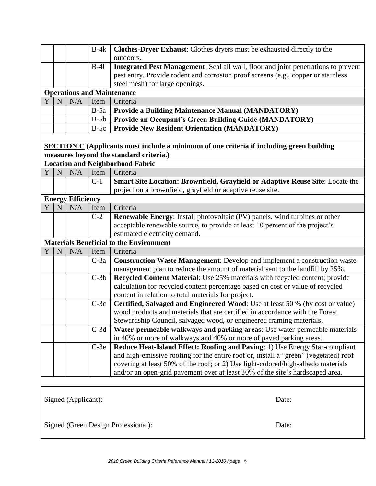|   |             |                          | $B-4k$ | Clothes-Dryer Exhaust: Clothes dryers must be exhausted directly to the                         |  |
|---|-------------|--------------------------|--------|-------------------------------------------------------------------------------------------------|--|
|   |             |                          |        | outdoors.                                                                                       |  |
|   |             |                          | $B-41$ | Integrated Pest Management: Seal all wall, floor and joint penetrations to prevent              |  |
|   |             |                          |        | pest entry. Provide rodent and corrosion proof screens (e.g., copper or stainless               |  |
|   |             |                          |        | steel mesh) for large openings.                                                                 |  |
|   |             |                          |        | <b>Operations and Maintenance</b>                                                               |  |
| Y | N           | N/A                      | Item   | Criteria                                                                                        |  |
|   |             |                          | $B-5a$ | <b>Provide a Building Maintenance Manual (MANDATORY)</b>                                        |  |
|   |             |                          | $B-5b$ | Provide an Occupant's Green Building Guide (MANDATORY)                                          |  |
|   |             |                          | $B-5c$ | <b>Provide New Resident Orientation (MANDATORY)</b>                                             |  |
|   |             |                          |        |                                                                                                 |  |
|   |             |                          |        | <b>SECTION C</b> (Applicants must include a minimum of one criteria if including green building |  |
|   |             |                          |        | measures beyond the standard criteria.)                                                         |  |
|   |             |                          |        | <b>Location and Neighborhood Fabric</b>                                                         |  |
| Y | $\mathbf N$ | N/A                      | Item   | Criteria                                                                                        |  |
|   |             |                          | $C-1$  | Smart Site Location: Brownfield, Grayfield or Adaptive Reuse Site: Locate the                   |  |
|   |             |                          |        | project on a brownfield, grayfield or adaptive reuse site.                                      |  |
|   |             | <b>Energy Efficiency</b> |        |                                                                                                 |  |
| Y | N           | N/A                      | Item   | Criteria                                                                                        |  |
|   |             |                          | $C-2$  | <b>Renewable Energy:</b> Install photovoltaic (PV) panels, wind turbines or other               |  |
|   |             |                          |        | acceptable renewable source, to provide at least 10 percent of the project's                    |  |
|   |             |                          |        | estimated electricity demand.                                                                   |  |
|   |             |                          |        | <b>Materials Beneficial to the Environment</b>                                                  |  |
| Y | N           | N/A                      | Item   | Criteria                                                                                        |  |
|   |             |                          | $C-3a$ | <b>Construction Waste Management:</b> Develop and implement a construction waste                |  |
|   |             |                          |        | management plan to reduce the amount of material sent to the landfill by 25%.                   |  |
|   |             |                          | $C-3b$ | Recycled Content Material: Use 25% materials with recycled content; provide                     |  |
|   |             |                          |        | calculation for recycled content percentage based on cost or value of recycled                  |  |
|   |             |                          |        | content in relation to total materials for project.                                             |  |
|   |             |                          | $C-3c$ | Certified, Salvaged and Engineered Wood: Use at least 50 % (by cost or value)                   |  |
|   |             |                          |        | wood products and materials that are certified in accordance with the Forest                    |  |
|   |             |                          |        | Stewardship Council, salvaged wood, or engineered framing materials.                            |  |
|   |             |                          | $C-3d$ | Water-permeable walkways and parking areas: Use water-permeable materials                       |  |
|   |             |                          |        | in 40% or more of walkways and 40% or more of paved parking areas.                              |  |
|   |             |                          | $C-3e$ | Reduce Heat-Island Effect: Roofing and Paving: 1) Use Energy Star-compliant                     |  |
|   |             |                          |        | and high-emissive roofing for the entire roof or, install a "green" (vegetated) roof            |  |
|   |             |                          |        | covering at least 50% of the roof; or 2) Use light-colored/high-albedo materials                |  |
|   |             |                          |        | and/or an open-grid pavement over at least 30% of the site's hardscaped area.                   |  |
|   |             |                          |        |                                                                                                 |  |
|   |             |                          |        |                                                                                                 |  |
|   |             | Signed (Applicant):      |        | Date:                                                                                           |  |
|   |             |                          |        |                                                                                                 |  |
|   |             |                          |        |                                                                                                 |  |
|   |             |                          |        | Signed (Green Design Professional):<br>Date:                                                    |  |
|   |             |                          |        |                                                                                                 |  |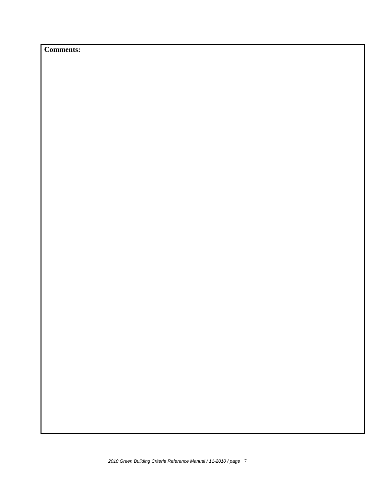**Comments:**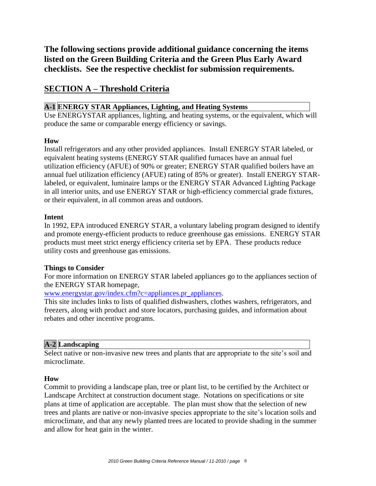**The following sections provide additional guidance concerning the items listed on the Green Building Criteria and the Green Plus Early Award checklists. See the respective checklist for submission requirements.**

# **SECTION A – Threshold Criteria**

# **A-1 ENERGY STAR Appliances, Lighting, and Heating Systems**

Use ENERGYSTAR appliances, lighting, and heating systems, or the equivalent, which will produce the same or comparable energy efficiency or savings.

# **How**

Install refrigerators and any other provided appliances. Install ENERGY STAR labeled, or equivalent heating systems (ENERGY STAR qualified furnaces have an annual fuel utilization efficiency (AFUE) of 90% or greater; ENERGY STAR qualified boilers have an annual fuel utilization efficiency (AFUE) rating of 85% or greater). Install ENERGY STARlabeled, or equivalent, luminaire lamps or the ENERGY STAR Advanced Lighting Package in all interior units, and use ENERGY STAR or high-efficiency commercial grade fixtures, or their equivalent, in all common areas and outdoors.

#### **Intent**

In 1992, EPA introduced ENERGY STAR, a voluntary labeling program designed to identify and promote energy-efficient products to reduce greenhouse gas emissions. ENERGY STAR products must meet strict energy efficiency criteria set by EPA. These products reduce utility costs and greenhouse gas emissions.

#### **Things to Consider**

For more information on ENERGY STAR labeled appliances go to the appliances section of the ENERGY STAR homepage,

[www.energystar.gov/index.cfm?c=appliances.pr\\_appliances.](http://www.energystar.gov/index.cfm?c=appliances.pr_appliances)

This site includes links to lists of qualified dishwashers, clothes washers, refrigerators, and freezers, along with product and store locators, purchasing guides, and information about rebates and other incentive programs.

# **A-2 Landscaping**

Select native or non-invasive new trees and plants that are appropriate to the site's soil and microclimate.

# **How**

Commit to providing a landscape plan, tree or plant list, to be certified by the Architect or Landscape Architect at construction document stage. Notations on specifications or site plans at time of application are acceptable. The plan must show that the selection of new trees and plants are native or non-invasive species appropriate to the site's location soils and microclimate, and that any newly planted trees are located to provide shading in the summer and allow for heat gain in the winter.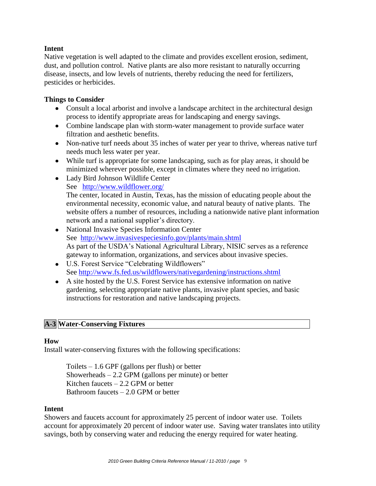# **Intent**

Native vegetation is well adapted to the climate and provides excellent erosion, sediment, dust, and pollution control. Native plants are also more resistant to naturally occurring disease, insects, and low levels of nutrients, thereby reducing the need for fertilizers, pesticides or herbicides.

# **Things to Consider**

- Consult a local arborist and involve a landscape architect in the architectural design process to identify appropriate areas for landscaping and energy savings.
- Combine landscape plan with storm-water management to provide surface water filtration and aesthetic benefits.
- Non-native turf needs about 35 inches of water per year to thrive, whereas native turf needs much less water per year.
- While turf is appropriate for some landscaping, such as for play areas, it should be minimized wherever possible, except in climates where they need no irrigation.
- Lady Bird Johnson Wildlife Center
	- See <http://www.wildflower.org/>

The center, located in Austin, Texas, has the mission of educating people about the environmental necessity, economic value, and natural beauty of native plants. The website offers a number of resources, including a nationwide native plant information network and a national supplier's directory.

- National Invasive Species Information Center See <http://www.invasivespeciesinfo.gov/plants/main.shtml> As part of the USDA's National Agricultural Library, NISIC serves as a reference gateway to information, organizations, and services about invasive species.
- U.S. Forest Service "Celebrating Wildflowers" See<http://www.fs.fed.us/wildflowers/nativegardening/instructions.shtml>
- A site hosted by the U.S. Forest Service has extensive information on native gardening, selecting appropriate native plants, invasive plant species, and basic instructions for restoration and native landscaping projects.

# **A-3 Water-Conserving Fixtures**

#### **How**

Install water-conserving fixtures with the following specifications:

Toilets  $-1.6$  GPF (gallons per flush) or better Showerheads  $-2.2$  GPM (gallons per minute) or better Kitchen faucets  $-2.2$  GPM or better Bathroom faucets – 2.0 GPM or better

#### **Intent**

Showers and faucets account for approximately 25 percent of indoor water use. Toilets account for approximately 20 percent of indoor water use. Saving water translates into utility savings, both by conserving water and reducing the energy required for water heating.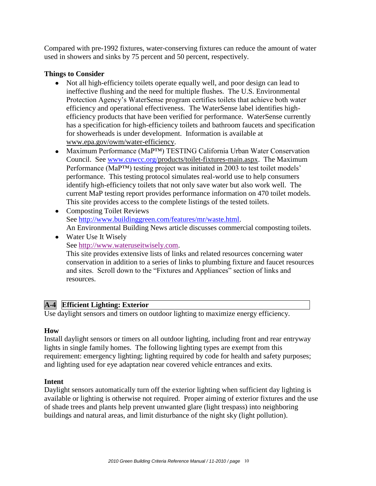Compared with pre-1992 fixtures, water-conserving fixtures can reduce the amount of water used in showers and sinks by 75 percent and 50 percent, respectively.

# **Things to Consider**

- Not all high-efficiency toilets operate equally well, and poor design can lead to ineffective flushing and the need for multiple flushes. The U.S. Environmental Protection Agency's WaterSense program certifies toilets that achieve both water efficiency and operational effectiveness. The WaterSense label identifies highefficiency products that have been verified for performance. WaterSense currently has a specification for high-efficiency toilets and bathroom faucets and specification for showerheads is under development. Information is available at www.epa.gov/owm/water-efficiency.
- Maximum Performance (MaP™) TESTING California Urban Water Conservation Council. See [www.cuwcc.org/p](http://www.cuwcc.org/)roducts/toilet-fixtures-main.aspx. The Maximum Performance (MaP™) testing project was initiated in 2003 to test toilet models' performance. This testing protocol simulates real-world use to help consumers identify high-efficiency toilets that not only save water but also work well. The current MaP testing report provides performance information on 470 toilet models. This site provides access to the complete listings of the tested toilets.
- Composting Toilet Reviews See [http://www.buildinggreen.com/features/mr/waste.html.](http://www.buildinggreen.com/features/mr/waste.html) An Environmental Building News article discusses commercial composting toilets.
- Water Use It Wisely See [http://www.wateruseitwisely.com.](http://www.wateruseitwisely.com/) This site provides extensive lists of links and related resources concerning water conservation in addition to a series of links to plumbing fixture and faucet resources

and sites. Scroll down to the "Fixtures and Appliances" section of links and resources.

# **A-4 Efficient Lighting: Exterior**

Use daylight sensors and timers on outdoor lighting to maximize energy efficiency.

#### **How**

Install daylight sensors or timers on all outdoor lighting, including front and rear entryway lights in single family homes. The following lighting types are exempt from this requirement: emergency lighting; lighting required by code for health and safety purposes; and lighting used for eye adaptation near covered vehicle entrances and exits.

#### **Intent**

Daylight sensors automatically turn off the exterior lighting when sufficient day lighting is available or lighting is otherwise not required. Proper aiming of exterior fixtures and the use of shade trees and plants help prevent unwanted glare (light trespass) into neighboring buildings and natural areas, and limit disturbance of the night sky (light pollution).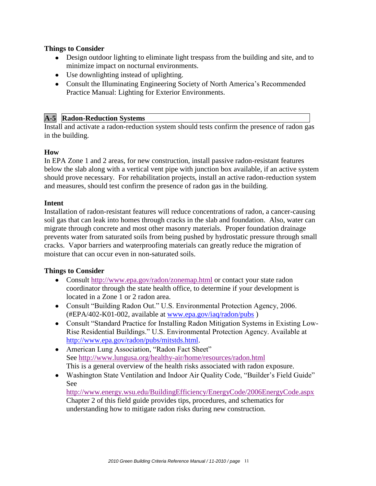# **Things to Consider**

- Design outdoor lighting to eliminate light trespass from the building and site, and to minimize impact on nocturnal environments.
- Use downlighting instead of uplighting.
- Consult the Illuminating Engineering Society of North America's Recommended Practice Manual: Lighting for Exterior Environments.

# **A-5 Radon-Reduction Systems**

Install and activate a radon-reduction system should tests confirm the presence of radon gas in the building.

# **How**

In EPA Zone 1 and 2 areas, for new construction, install passive radon-resistant features below the slab along with a vertical vent pipe with junction box available, if an active system should prove necessary. For rehabilitation projects, install an active radon-reduction system and measures, should test confirm the presence of radon gas in the building.

#### **Intent**

Installation of radon-resistant features will reduce concentrations of radon, a cancer-causing soil gas that can leak into homes through cracks in the slab and foundation. Also, water can migrate through concrete and most other masonry materials. Proper foundation drainage prevents water from saturated soils from being pushed by hydrostatic pressure through small cracks. Vapor barriers and waterproofing materials can greatly reduce the migration of moisture that can occur even in non-saturated soils.

# **Things to Consider**

- Consult<http://www.epa.gov/radon/zonemap.html> or contact your state radon coordinator through the state health office, to determine if your development is located in a Zone 1 or 2 radon area.
- Consult "Building Radon Out." U.S. Environmental Protection Agency, 2006. (#EPA/402-K01-002, available at [www.epa.gov/iaq/radon/pubs](http://www.epa.gov/iaq/radon/pubs) )
- Consult "Standard Practice for Installing Radon Mitigation Systems in Existing Low-Rise Residential Buildings." U.S. Environmental Protection Agency. Available at [http://www.epa.gov/radon/pubs/mitstds.html.](http://www.epa.gov/radon/pubs/mitstds.html)
- American Lung Association, "Radon Fact Sheet" See<http://www.lungusa.org/healthy-air/home/resources/radon.html> This is a general overview of the health risks associated with radon exposure.
- Washington State Ventilation and Indoor Air Quality Code, "Builder's Field Guide" See

<http://www.energy.wsu.edu/BuildingEfficiency/EnergyCode/2006EnergyCode.aspx> Chapter 2 of this field guide provides tips, procedures, and schematics for understanding how to mitigate radon risks during new construction.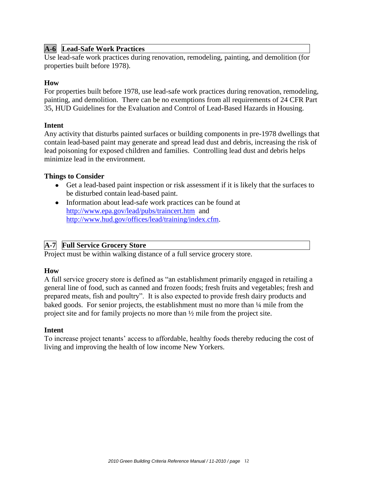#### **A-6 Lead-Safe Work Practices**

Use lead-safe work practices during renovation, remodeling, painting, and demolition (for properties built before 1978).

#### **How**

For properties built before 1978, use lead-safe work practices during renovation, remodeling, painting, and demolition. There can be no exemptions from all requirements of 24 CFR Part 35, HUD Guidelines for the Evaluation and Control of Lead-Based Hazards in Housing.

#### **Intent**

Any activity that disturbs painted surfaces or building components in pre-1978 dwellings that contain lead-based paint may generate and spread lead dust and debris, increasing the risk of lead poisoning for exposed children and families. Controlling lead dust and debris helps minimize lead in the environment.

#### **Things to Consider**

- Get a lead-based paint inspection or risk assessment if it is likely that the surfaces to be disturbed contain lead-based paint.
- Information about lead-safe work practices can be found at <http://www.epa.gov/lead/pubs/traincert.htm> and [http://www.hud.gov/offices/lead/training/index.cfm.](http://www.hud.gov/offices/lead/training/index.cfm)

#### **A-7 Full Service Grocery Store**

Project must be within walking distance of a full service grocery store.

#### **How**

A full service grocery store is defined as "an establishment primarily engaged in retailing a general line of food, such as canned and frozen foods; fresh fruits and vegetables; fresh and prepared meats, fish and poultry". It is also expected to provide fresh dairy products and baked goods. For senior projects, the establishment must no more than ¼ mile from the project site and for family projects no more than ½ mile from the project site.

#### **Intent**

To increase project tenants' access to affordable, healthy foods thereby reducing the cost of living and improving the health of low income New Yorkers.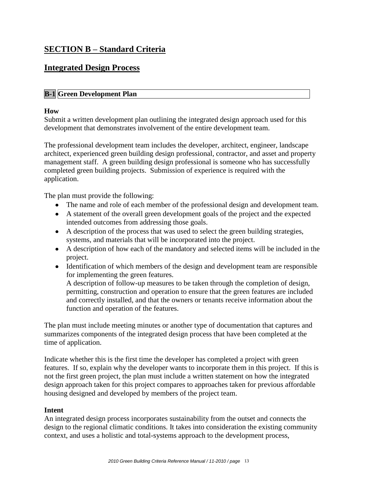# **SECTION B – Standard Criteria**

# **Integrated Design Process**

# **B-1 Green Development Plan**

### **How**

Submit a written development plan outlining the integrated design approach used for this development that demonstrates involvement of the entire development team.

The professional development team includes the developer, architect, engineer, landscape architect, experienced green building design professional, contractor, and asset and property management staff. A green building design professional is someone who has successfully completed green building projects. Submission of experience is required with the application.

The plan must provide the following:

- The name and role of each member of the professional design and development team.
- A statement of the overall green development goals of the project and the expected intended outcomes from addressing those goals.
- A description of the process that was used to select the green building strategies, systems, and materials that will be incorporated into the project.
- A description of how each of the mandatory and selected items will be included in the project.
- Identification of which members of the design and development team are responsible for implementing the green features.

A description of follow-up measures to be taken through the completion of design, permitting, construction and operation to ensure that the green features are included and correctly installed, and that the owners or tenants receive information about the function and operation of the features.

The plan must include meeting minutes or another type of documentation that captures and summarizes components of the integrated design process that have been completed at the time of application.

Indicate whether this is the first time the developer has completed a project with green features. If so, explain why the developer wants to incorporate them in this project. If this is not the first green project, the plan must include a written statement on how the integrated design approach taken for this project compares to approaches taken for previous affordable housing designed and developed by members of the project team.

#### **Intent**

An integrated design process incorporates sustainability from the outset and connects the design to the regional climatic conditions. It takes into consideration the existing community context, and uses a holistic and total-systems approach to the development process,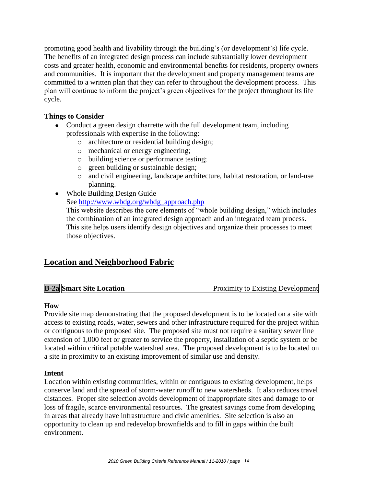promoting good health and livability through the building's (or development's) life cycle. The benefits of an integrated design process can include substantially lower development costs and greater health, economic and environmental benefits for residents, property owners and communities. It is important that the development and property management teams are committed to a written plan that they can refer to throughout the development process. This plan will continue to inform the project's green objectives for the project throughout its life cycle.

# **Things to Consider**

- Conduct a green design charrette with the full development team, including professionals with expertise in the following:
	- o architecture or residential building design;
	- o mechanical or energy engineering;
	- o building science or performance testing;
	- o green building or sustainable design;
	- o and civil engineering, landscape architecture, habitat restoration, or land-use planning.
- Whole Building Design Guide

See [http://www.wbdg.org/wbdg\\_approach.php](http://www.wbdg.org/wbdg_approach.php)

This website describes the core elements of "whole building design," which includes the combination of an integrated design approach and an integrated team process. This site helps users identify design objectives and organize their processes to meet those objectives.

# **Location and Neighborhood Fabric**

| <b>B-2a Smart Site Location</b> | <b>Proximity to Existing Development</b> |
|---------------------------------|------------------------------------------|
|---------------------------------|------------------------------------------|

# **How**

Provide site map demonstrating that the proposed development is to be located on a site with access to existing roads, water, sewers and other infrastructure required for the project within or contiguous to the proposed site. The proposed site must not require a sanitary sewer line extension of 1,000 feet or greater to service the property, installation of a septic system or be located within critical potable watershed area. The proposed development is to be located on a site in proximity to an existing improvement of similar use and density.

# **Intent**

Location within existing communities, within or contiguous to existing development, helps conserve land and the spread of storm-water runoff to new watersheds. It also reduces travel distances. Proper site selection avoids development of inappropriate sites and damage to or loss of fragile, scarce environmental resources. The greatest savings come from developing in areas that already have infrastructure and civic amenities. Site selection is also an opportunity to clean up and redevelop brownfields and to fill in gaps within the built environment.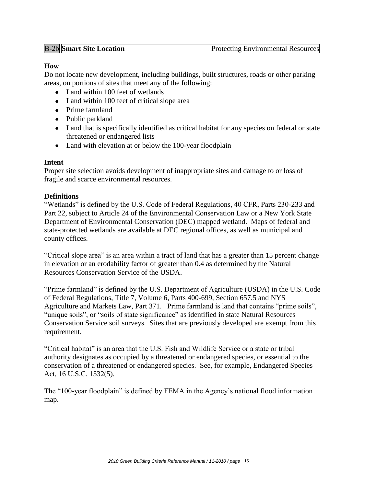# **How**

Do not locate new development, including buildings, built structures, roads or other parking areas, on portions of sites that meet any of the following:

- Land within 100 feet of wetlands
- Land within 100 feet of critical slope area
- Prime farmland
- Public parkland
- Land that is specifically identified as critical habitat for any species on federal or state threatened or endangered lists
- Land with elevation at or below the 100-year floodplain

# **Intent**

Proper site selection avoids development of inappropriate sites and damage to or loss of fragile and scarce environmental resources.

# **Definitions**

"Wetlands" is defined by the U.S. Code of Federal Regulations, 40 CFR, Parts 230-233 and Part 22, subject to Article 24 of the Environmental Conservation Law or a New York State Department of Environmental Conservation (DEC) mapped wetland. Maps of federal and state-protected wetlands are available at DEC regional offices, as well as municipal and county offices.

"Critical slope area" is an area within a tract of land that has a greater than 15 percent change in elevation or an erodability factor of greater than 0.4 as determined by the Natural Resources Conservation Service of the USDA.

"Prime farmland" is defined by the U.S. Department of Agriculture (USDA) in the U.S. Code of Federal Regulations, Title 7, Volume 6, Parts 400-699, Section 657.5 and NYS Agriculture and Markets Law, Part 371. Prime farmland is land that contains "prime soils", "unique soils", or "soils of state significance" as identified in state Natural Resources Conservation Service soil surveys. Sites that are previously developed are exempt from this requirement.

"Critical habitat" is an area that the U.S. Fish and Wildlife Service or a state or tribal authority designates as occupied by a threatened or endangered species, or essential to the conservation of a threatened or endangered species. See, for example, Endangered Species Act, 16 U.S.C. 1532(5).

The "100-year floodplain" is defined by FEMA in the Agency's national flood information map.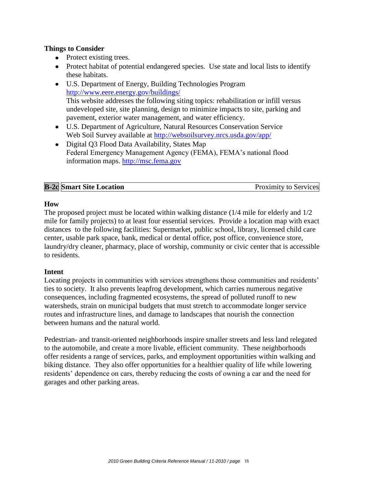### **Things to Consider**

- Protect existing trees.
- Protect habitat of potential endangered species. Use state and local lists to identify these habitats.
- U.S. Department of Energy, Building Technologies Program <http://www.eere.energy.gov/buildings/> This website addresses the following siting topics: rehabilitation or infill versus undeveloped site, site planning, design to minimize impacts to site, parking and pavement, exterior water management, and water efficiency.
- U.S. Department of Agriculture, Natural Resources Conservation Service Web Soil Survey available at<http://websoilsurvey.nrcs.usda.gov/app/>
- Digital Q3 Flood Data Availability, States Map Federal Emergency Management Agency (FEMA), FEMA's national flood information maps. [http://msc.fema.gov](http://msc.fema.gov/)

|--|

# **How**

The proposed project must be located within walking distance (1/4 mile for elderly and 1/2 mile for family projects) to at least four essential services. Provide a location map with exact distances to the following facilities: Supermarket, public school, library, licensed child care center, usable park space, bank, medical or dental office, post office, convenience store, laundry/dry cleaner, pharmacy, place of worship, community or civic center that is accessible to residents.

# **Intent**

Locating projects in communities with services strengthens those communities and residents' ties to society. It also prevents leapfrog development, which carries numerous negative consequences, including fragmented ecosystems, the spread of polluted runoff to new watersheds, strain on municipal budgets that must stretch to accommodate longer service routes and infrastructure lines, and damage to landscapes that nourish the connection between humans and the natural world.

Pedestrian- and transit-oriented neighborhoods inspire smaller streets and less land relegated to the automobile, and create a more livable, efficient community. These neighborhoods offer residents a range of services, parks, and employment opportunities within walking and biking distance. They also offer opportunities for a healthier quality of life while lowering residents' dependence on cars, thereby reducing the costs of owning a car and the need for garages and other parking areas.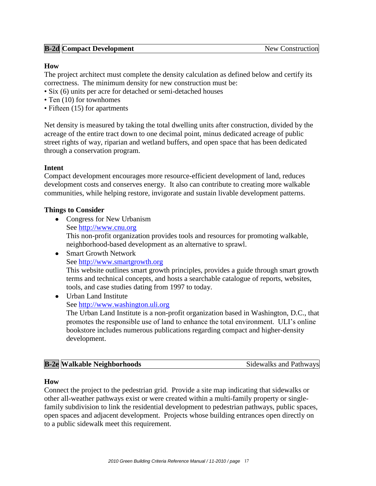# **B-2d Compact Development** New Construction

### **How**

The project architect must complete the density calculation as defined below and certify its correctness. The minimum density for new construction must be:

- Six (6) units per acre for detached or semi-detached houses
- Ten (10) for townhomes
- Fifteen (15) for apartments

Net density is measured by taking the total dwelling units after construction, divided by the acreage of the entire tract down to one decimal point, minus dedicated acreage of public street rights of way, riparian and wetland buffers, and open space that has been dedicated through a conservation program.

#### **Intent**

Compact development encourages more resource-efficient development of land, reduces development costs and conserves energy. It also can contribute to creating more walkable communities, while helping restore, invigorate and sustain livable development patterns.

#### **Things to Consider**

- Congress for New Urbanism See [http://www.cnu.org](http://www.cnu.org/) This non-profit organization provides tools and resources for promoting walkable, neighborhood-based development as an alternative to sprawl.
- Smart Growth Network See [http://www.smartgrowth.org](http://www.smartgrowth.org/) This website outlines smart growth principles, provides a guide through smart growth terms and technical concepts, and hosts a searchable catalogue of reports, websites, tools, and case studies dating from 1997 to today.
- Urban Land Institute See [http://www.washington.uli.org](http://www.washington.uli.org/) The Urban Land Institute is a non-profit organization based in Washington, D.C., that

promotes the responsible use of land to enhance the total environment. ULI's online bookstore includes numerous publications regarding compact and higher-density development.

| <b>B-2e</b> Walkable Neighborhoods | Sidewalks and Pathways |
|------------------------------------|------------------------|
|                                    |                        |

#### **How**

Connect the project to the pedestrian grid. Provide a site map indicating that sidewalks or other all-weather pathways exist or were created within a multi-family property or singlefamily subdivision to link the residential development to pedestrian pathways, public spaces, open spaces and adjacent development. Projects whose building entrances open directly on to a public sidewalk meet this requirement.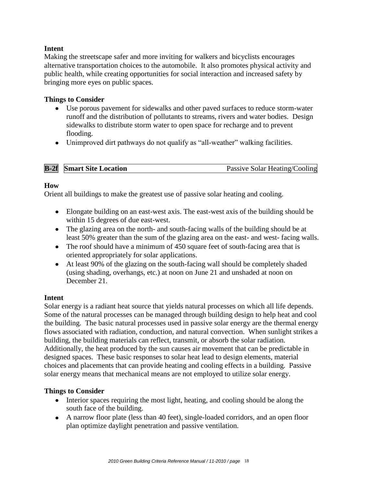# **Intent**

Making the streetscape safer and more inviting for walkers and bicyclists encourages alternative transportation choices to the automobile. It also promotes physical activity and public health, while creating opportunities for social interaction and increased safety by bringing more eyes on public spaces.

### **Things to Consider**

- Use porous pavement for sidewalks and other paved surfaces to reduce storm-water runoff and the distribution of pollutants to streams, rivers and water bodies. Design sidewalks to distribute storm water to open space for recharge and to prevent flooding.
- Unimproved dirt pathways do not qualify as "all-weather" walking facilities.

| <b>B-2f</b> Smart Site Location | Passive Solar Heating/Cooling |
|---------------------------------|-------------------------------|

# **How**

Orient all buildings to make the greatest use of passive solar heating and cooling.

- Elongate building on an east-west axis. The east-west axis of the building should be within 15 degrees of due east-west.
- The glazing area on the north- and south-facing walls of the building should be at least 50% greater than the sum of the glazing area on the east- and west- facing walls.
- The roof should have a minimum of 450 square feet of south-facing area that is oriented appropriately for solar applications.
- At least 90% of the glazing on the south-facing wall should be completely shaded (using shading, overhangs, etc.) at noon on June 21 and unshaded at noon on December 21.

#### **Intent**

Solar energy is a radiant heat source that yields natural processes on which all life depends. Some of the natural processes can be managed through building design to help heat and cool the building. The basic natural processes used in passive solar energy are the thermal energy flows associated with radiation, conduction, and natural convection. When sunlight strikes a building, the building materials can reflect, transmit, or absorb the solar radiation. Additionally, the heat produced by the sun causes air movement that can be predictable in designed spaces. These basic responses to solar heat lead to design elements, material choices and placements that can provide heating and cooling effects in a building. Passive solar energy means that mechanical means are not employed to utilize solar energy.

- Interior spaces requiring the most light, heating, and cooling should be along the south face of the building.
- A narrow floor plate (less than 40 feet), single-loaded corridors, and an open floor plan optimize daylight penetration and passive ventilation.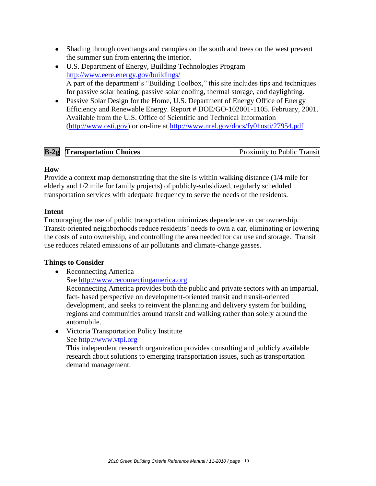- Shading through overhangs and canopies on the south and trees on the west prevent the summer sun from entering the interior.
- U.S. Department of Energy, Building Technologies Program <http://www.eere.energy.gov/buildings/> A part of the department's "Building Toolbox," this site includes tips and techniques for passive solar heating, passive solar cooling, thermal storage, and daylighting.
- Passive Solar Design for the Home, U.S. Department of Energy Office of Energy Efficiency and Renewable Energy. Report # DOE/GO-102001-1105. February, 2001. Available from the U.S. Office of Scientific and Technical Information [\(http://www.osti.gov\)](http://www.osti.gov/) or on-line at<http://www.nrel.gov/docs/fy01osti/27954.pdf>

|  | $B-2g$<br><b>Transportation Choices</b> | <b>Proximity to Public Transit</b> |
|--|-----------------------------------------|------------------------------------|
|--|-----------------------------------------|------------------------------------|

#### **How**

Provide a context map demonstrating that the site is within walking distance (1/4 mile for elderly and 1/2 mile for family projects) of publicly-subsidized, regularly scheduled transportation services with adequate frequency to serve the needs of the residents.

# **Intent**

Encouraging the use of public transportation minimizes dependence on car ownership. Transit-oriented neighborhoods reduce residents' needs to own a car, eliminating or lowering the costs of auto ownership, and controlling the area needed for car use and storage. Transit use reduces related emissions of air pollutants and climate-change gasses.

# **Things to Consider**

• Reconnecting America

See [http://www.reconnectingamerica.org](http://www.reconnectingamerica.org/)

Reconnecting America provides both the public and private sectors with an impartial, fact- based perspective on development-oriented transit and transit-oriented development, and seeks to reinvent the planning and delivery system for building regions and communities around transit and walking rather than solely around the automobile.

Victoria Transportation Policy Institute See [http://www.vtpi.org](http://www.vtpi.org/)

This independent research organization provides consulting and publicly available research about solutions to emerging transportation issues, such as transportation demand management.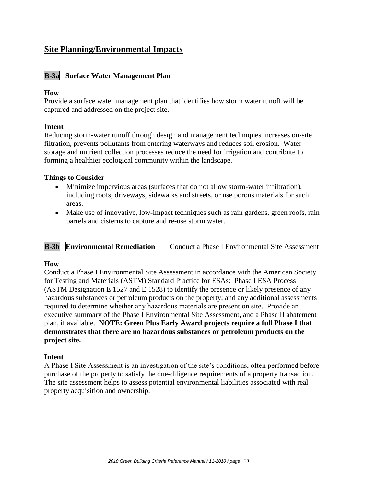# **Site Planning/Environmental Impacts**

### **B-3a Surface Water Management Plan**

#### **How**

Provide a surface water management plan that identifies how storm water runoff will be captured and addressed on the project site.

#### **Intent**

Reducing storm-water runoff through design and management techniques increases on-site filtration, prevents pollutants from entering waterways and reduces soil erosion. Water storage and nutrient collection processes reduce the need for irrigation and contribute to forming a healthier ecological community within the landscape.

#### **Things to Consider**

- Minimize impervious areas (surfaces that do not allow storm-water infiltration), including roofs, driveways, sidewalks and streets, or use porous materials for such areas.
- Make use of innovative, low-impact techniques such as rain gardens, green roofs, rain barrels and cisterns to capture and re-use storm water.

# **B-3b Environmental Remediation** Conduct a Phase I Environmental Site Assessment

#### **How**

Conduct a Phase I Environmental Site Assessment in accordance with the American Society for Testing and Materials (ASTM) Standard Practice for ESAs: Phase I ESA Process (ASTM Designation E 1527 and E 1528) to identify the presence or likely presence of any hazardous substances or petroleum products on the property; and any additional assessments required to determine whether any hazardous materials are present on site. Provide an executive summary of the Phase I Environmental Site Assessment, and a Phase II abatement plan, if available. **NOTE: Green Plus Early Award projects require a full Phase I that demonstrates that there are no hazardous substances or petroleum products on the project site.**

#### **Intent**

A Phase I Site Assessment is an investigation of the site's conditions, often performed before purchase of the property to satisfy the due-diligence requirements of a property transaction. The site assessment helps to assess potential environmental liabilities associated with real property acquisition and ownership.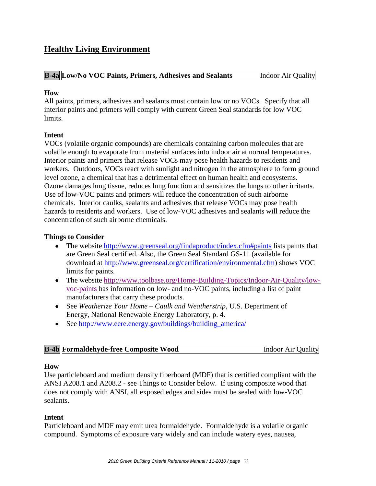# **Healthy Living Environment**

#### **B-4a Low/No VOC Paints, Primers, Adhesives and Sealants** Indoor Air Quality

#### **How**

All paints, primers, adhesives and sealants must contain low or no VOCs. Specify that all interior paints and primers will comply with current Green Seal standards for low VOC limits.

# **Intent**

VOCs (volatile organic compounds) are chemicals containing carbon molecules that are volatile enough to evaporate from material surfaces into indoor air at normal temperatures. Interior paints and primers that release VOCs may pose health hazards to residents and workers. Outdoors, VOCs react with sunlight and nitrogen in the atmosphere to form ground level ozone, a chemical that has a detrimental effect on human health and ecosystems. Ozone damages lung tissue, reduces lung function and sensitizes the lungs to other irritants. Use of low-VOC paints and primers will reduce the concentration of such airborne chemicals. Interior caulks, sealants and adhesives that release VOCs may pose health hazards to residents and workers. Use of low-VOC adhesives and sealants will reduce the concentration of such airborne chemicals.

# **Things to Consider**

- The website [http://www.greenseal.org/findaproduct/index.cfm#paints](http://www.greenseal.org/findaproduct/index.cfm%23paints) lists paints that are Green Seal certified. Also, the Green Seal Standard GS-11 (available for download at [http://www.greenseal.org/certification/environmental.cfm\)](http://www.greenseal.org/certification/environmental.cfm) shows VOC limits for paints.
- The website [http://www.toolbase.org/Home-Building-Topics/Indoor-Air-Quality/low](http://www.toolbase.org/Home-Building-Topics/Indoor-Air-Quality/low-voc-paints)[voc-paints](http://www.toolbase.org/Home-Building-Topics/Indoor-Air-Quality/low-voc-paints) has information on low- and no-VOC paints, including a list of paint manufacturers that carry these products.
- See *Weatherize Your Home – Caulk and Weatherstrip*, U.S. Department of Energy, National Renewable Energy Laboratory, p. 4.
- See http://www.eere.energy.gov/buildings/building america/

| <b>B-4b</b> Formaldehyde-free Composite Wood | <b>Indoor Air Quality</b> |
|----------------------------------------------|---------------------------|
|                                              |                           |

#### **How**

Use particleboard and medium density fiberboard (MDF) that is certified compliant with the ANSI A208.1 and A208.2 - see Things to Consider below. If using composite wood that does not comply with ANSI, all exposed edges and sides must be sealed with low-VOC sealants.

#### **Intent**

Particleboard and MDF may emit urea formaldehyde. Formaldehyde is a volatile organic compound. Symptoms of exposure vary widely and can include watery eyes, nausea,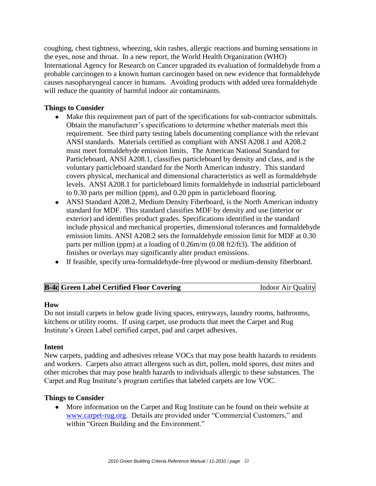coughing, chest tightness, wheezing, skin rashes, allergic reactions and burning sensations in the eyes, nose and throat. In a new report, the World Health Organization (WHO) International Agency for Research on Cancer upgraded its evaluation of formaldehyde from a probable carcinogen to a known human carcinogen based on new evidence that formaldehyde causes nasopharyngeal cancer in humans. Avoiding products with added urea formaldehyde will reduce the quantity of harmful indoor air contaminants.

# **Things to Consider**

- Make this requirement part of part of the specifications for sub-contractor submittals. Obtain the manufacturer's specifications to determine whether materials meet this requirement. See third party testing labels documenting compliance with the relevant ANSI standards. Materials certified as compliant with ANSI A208.1 and A208.2 must meet formaldehyde emission limits. The American National Standard for Particleboard, ANSI A208.1, classifies particleboard by density and class, and is the voluntary particleboard standard for the North American industry. This standard covers physical, mechanical and dimensional characteristics as well as formaldehyde levels. ANSI A208.1 for particleboard limits formaldehyde in industrial particleboard to 0.30 parts per million (ppm), and 0.20 ppm in particleboard flooring.
- ANSI Standard A208.2, Medium Density Fiberboard, is the North American industry standard for MDF. This standard classifies MDF by density and use (interior or exterior) and identifies product grades. Specifications identified in the standard include physical and mechanical properties, dimensional tolerances and formaldehyde emission limits. ANSI A208.2 sets the formaldehyde emission limit for MDF at 0.30 parts per million (ppm) at a loading of 0.26m/m (0.08 ft2/ft3). The addition of finishes or overlays may significantly alter product emissions.
- If feasible, specify urea-formaldehyde-free plywood or medium-density fiberboard.

| <b>B-4c</b> Green Label Certified Floor Covering | <b>Indoor Air Quality</b> |
|--------------------------------------------------|---------------------------|
|                                                  |                           |

#### **How**

Do not install carpets in below grade living spaces, entryways, laundry rooms, bathrooms, kitchens or utility rooms. If using carpet, use products that meet the Carpet and Rug Institute's Green Label certified carpet, pad and carpet adhesives.

#### **Intent**

New carpets, padding and adhesives release VOCs that may pose health hazards to residents and workers. Carpets also attract allergens such as dirt, pollen, mold spores, dust mites and other microbes that may pose health hazards to individuals allergic to these substances. The Carpet and Rug Institute's program certifies that labeled carpets are low VOC.

#### **Things to Consider**

More information on the Carpet and Rug Institute can be found on their website at [www.carpet-rug.org.](http://www.carpet-rug.org/) Details are provided under "Commercial Customers," and within "Green Building and the Environment."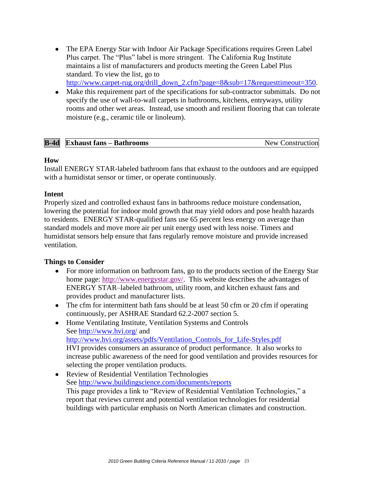- The EPA Energy Star with Indoor Air Package Specifications requires Green Label Plus carpet. The "Plus" label is more stringent. The California Rug Institute maintains a list of manufacturers and products meeting the Green Label Plus standard. To view the list, go to [http://www.carpet-rug.org/drill\\_down\\_2.cfm?page=8&sub=17&requesttimeout=350.](http://www.carpet-rug.org/drill_down_2.cfm?page=8&sub=17&requesttimeout=350)
- Make this requirement part of the specifications for sub-contractor submittals. Do not specify the use of wall-to-wall carpets in bathrooms, kitchens, entryways, utility rooms and other wet areas. Instead, use smooth and resilient flooring that can tolerate moisture (e.g., ceramic tile or linoleum).

| $B-4d$ | <b>Exhaust fans – Bathrooms</b> | <b>New</b><br>Construction |
|--------|---------------------------------|----------------------------|

# **How**

Install ENERGY STAR-labeled bathroom fans that exhaust to the outdoors and are equipped with a humidistat sensor or timer, or operate continuously.

#### **Intent**

Properly sized and controlled exhaust fans in bathrooms reduce moisture condensation, lowering the potential for indoor mold growth that may yield odors and pose health hazards to residents. ENERGY STAR-qualified fans use 65 percent less energy on average than standard models and move more air per unit energy used with less noise. Timers and humidistat sensors help ensure that fans regularly remove moisture and provide increased ventilation.

- $\bullet$ For more information on bathroom fans, go to the products section of the Energy Star home page: [http://www.energystar.gov/.](http://www.energystar.gov/) This website describes the advantages of ENERGY STAR–labeled bathroom, utility room, and kitchen exhaust fans and provides product and manufacturer lists.
- The cfm for intermittent bath fans should be at least 50 cfm or 20 cfm if operating continuously, per ASHRAE Standard 62.2-2007 section 5.
- Home Ventilating Institute, Ventilation Systems and Controls See<http://www.hvi.org/> and [http://www.hvi.org/assets/pdfs/Ventilation\\_Controls\\_for\\_Life-Styles.pdf](http://www.hvi.org/assets/pdfs/Ventilation_Controls_for_Life-Styles.pdf) HVI provides consumers an assurance of product performance. It also works to increase public awareness of the need for good ventilation and provides resources for selecting the proper ventilation products.
- Review of Residential Ventilation Technologies See<http://www.buildingscience.com/documents/reports> This page provides a link to "Review of Residential Ventilation Technologies," a report that reviews current and potential ventilation technologies for residential buildings with particular emphasis on North American climates and construction.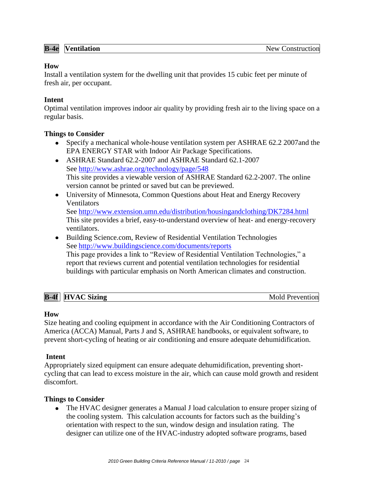# **How**

Install a ventilation system for the dwelling unit that provides 15 cubic feet per minute of fresh air, per occupant.

# **Intent**

Optimal ventilation improves indoor air quality by providing fresh air to the living space on a regular basis.

# **Things to Consider**

- Specify a mechanical whole-house ventilation system per ASHRAE 62.2 2007and the EPA ENERGY STAR with Indoor Air Package Specifications.
- ASHRAE Standard 62.2-2007 and ASHRAE Standard 62.1-2007 See<http://www.ashrae.org/technology/page/548> This site provides a viewable version of ASHRAE Standard 62.2-2007. The online version cannot be printed or saved but can be previewed.
- University of Minnesota, Common Questions about Heat and Energy Recovery Ventilators See<http://www.extension.umn.edu/distribution/housingandclothing/DK7284.html>

This site provides a brief, easy-to-understand overview of heat- and energy-recovery ventilators.

Building Science.com, Review of Residential Ventilation Technologies See<http://www.buildingscience.com/documents/reports> This page provides a link to "Review of Residential Ventilation Technologies," a report that reviews current and potential ventilation technologies for residential buildings with particular emphasis on North American climates and construction.

| <b>B-4f</b><br>C Sizing<br><b>HVA</b><br>${\bf AC}$ | Prevention |
|-----------------------------------------------------|------------|
|-----------------------------------------------------|------------|

# **How**

Size heating and cooling equipment in accordance with the Air Conditioning Contractors of America (ACCA) Manual, Parts J and S, ASHRAE handbooks, or equivalent software, to prevent short-cycling of heating or air conditioning and ensure adequate dehumidification.

# **Intent**

Appropriately sized equipment can ensure adequate dehumidification, preventing shortcycling that can lead to excess moisture in the air, which can cause mold growth and resident discomfort.

# **Things to Consider**

The HVAC designer generates a Manual J load calculation to ensure proper sizing of the cooling system. This calculation accounts for factors such as the building's orientation with respect to the sun, window design and insulation rating. The designer can utilize one of the HVAC-industry adopted software programs, based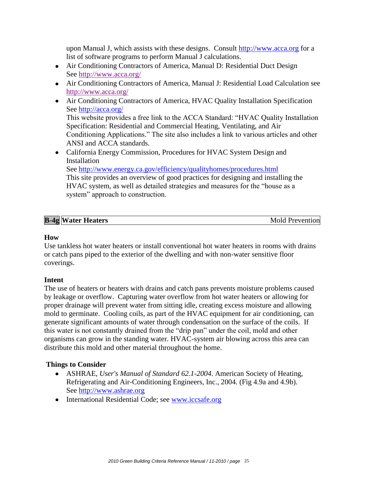upon Manual J, which assists with these designs. Consult [http://www.acca.org](http://www.acca.org/) for a list of software programs to perform Manual J calculations.

- Air Conditioning Contractors of America, Manual D: Residential Duct Design See<http://www.acca.org/>
- Air Conditioning Contractors of America, Manual J: Residential Load Calculation see <http://www.acca.org/>
- Air Conditioning Contractors of America, HVAC Quality Installation Specification See<http://acca.org/> This website provides a free link to the ACCA Standard: "HVAC Quality Installation Specification: Residential and Commercial Heating, Ventilating, and Air Conditioning Applications." The site also includes a link to various articles and other ANSI and ACCA standards.
- California Energy Commission, Procedures for HVAC System Design and Installation See<http://www.energy.ca.gov/efficiency/qualityhomes/procedures.html> This site provides an overview of good practices for designing and installing the HVAC system, as well as detailed strategies and measures for the "house as a system" approach to construction.

| <b>B-4g Water Heaters</b> | Mold Prevention |
|---------------------------|-----------------|

#### **How**

Use tankless hot water heaters or install conventional hot water heaters in rooms with drains or catch pans piped to the exterior of the dwelling and with non-water sensitive floor coverings.

# **Intent**

The use of heaters or heaters with drains and catch pans prevents moisture problems caused by leakage or overflow. Capturing water overflow from hot water heaters or allowing for proper drainage will prevent water from sitting idle, creating excess moisture and allowing mold to germinate. Cooling coils, as part of the HVAC equipment for air conditioning, can generate significant amounts of water through condensation on the surface of the coils. If this water is not constantly drained from the "drip pan" under the coil, mold and other organisms can grow in the standing water. HVAC-system air blowing across this area can distribute this mold and other material throughout the home.

- ASHRAE, *User's Manual of Standard 62.1-2004*. American Society of Heating, Refrigerating and Air-Conditioning Engineers, Inc., 2004. (Fig 4.9a and 4.9b). See [http://www.ashrae.org](http://www.ashrae.org/)
- International Residential Code; see [www.iccsafe.org](http://www.iccsafe.org/)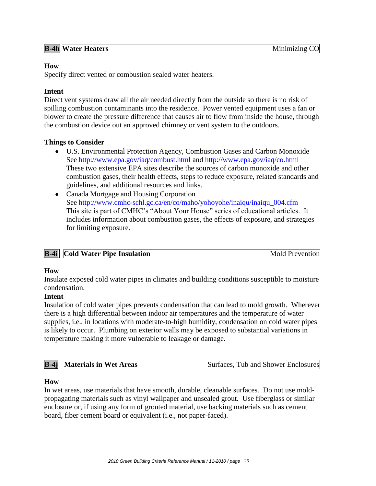#### **How**

Specify direct vented or combustion sealed water heaters.

# **Intent**

Direct vent systems draw all the air needed directly from the outside so there is no risk of spilling combustion contaminants into the residence. Power vented equipment uses a fan or blower to create the pressure difference that causes air to flow from inside the house, through the combustion device out an approved chimney or vent system to the outdoors.

# **Things to Consider**

- U.S. Environmental Protection Agency, Combustion Gases and Carbon Monoxide See<http://www.epa.gov/iaq/combust.html> and<http://www.epa.gov/iaq/co.html> These two extensive EPA sites describe the sources of carbon monoxide and other combustion gases, their health effects, steps to reduce exposure, related standards and guidelines, and additional resources and links.
- Canada Mortgage and Housing Corporation See [http://www.cmhc-schl.gc.ca/en/co/maho/yohoyohe/inaiqu/inaiqu\\_004.cfm](http://www.cmhc-schl.gc.ca/en/co/maho/yohoyohe/inaiqu/inaiqu_004.cfm) This site is part of CMHC's "About Your House" series of educational articles. It includes information about combustion gases, the effects of exposure, and strategies for limiting exposure.

| <b>B-4i</b> Cold Water Pipe Insulation | <b>Mold Prevention</b> |
|----------------------------------------|------------------------|

#### **How**

Insulate exposed cold water pipes in climates and building conditions susceptible to moisture condensation.

#### **Intent**

Insulation of cold water pipes prevents condensation that can lead to mold growth. Wherever there is a high differential between indoor air temperatures and the temperature of water supplies, i.e., in locations with moderate-to-high humidity, condensation on cold water pipes is likely to occur. Plumbing on exterior walls may be exposed to substantial variations in temperature making it more vulnerable to leakage or damage.

| <b>B-4j</b> Materials in Wet Areas | Surfaces, Tub and Shower Enclosures |
|------------------------------------|-------------------------------------|
|                                    |                                     |

#### **How**

In wet areas, use materials that have smooth, durable, cleanable surfaces. Do not use moldpropagating materials such as vinyl wallpaper and unsealed grout. Use fiberglass or similar enclosure or, if using any form of grouted material, use backing materials such as cement board, fiber cement board or equivalent (i.e., not paper-faced).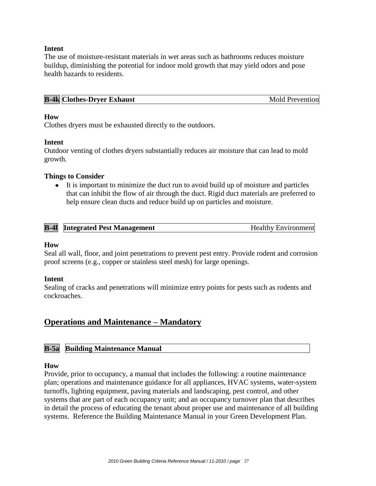#### **Intent**

The use of moisture-resistant materials in wet areas such as bathrooms reduces moisture buildup, diminishing the potential for indoor mold growth that may yield odors and pose health hazards to residents.

| <b>B-4k Clothes-Dryer Exhaust</b><br><b>Mold Prevention</b> |
|-------------------------------------------------------------|
|-------------------------------------------------------------|

#### **How**

Clothes dryers must be exhausted directly to the outdoors.

#### **Intent**

Outdoor venting of clothes dryers substantially reduces air moisture that can lead to mold growth.

#### **Things to Consider**

It is important to minimize the duct run to avoid build up of moisture and particles that can inhibit the flow of air through the duct. Rigid duct materials are preferred to help ensure clean ducts and reduce build up on particles and moisture.

| <b>B-41</b> Integrated Pest Management | <b>Healthy Environment</b> |
|----------------------------------------|----------------------------|
|                                        |                            |

#### **How**

Seal all wall, floor, and joint penetrations to prevent pest entry. Provide rodent and corrosion proof screens (e.g., copper or stainless steel mesh) for large openings.

#### **Intent**

Sealing of cracks and penetrations will minimize entry points for pests such as rodents and cockroaches.

# **Operations and Maintenance – Mandatory**

#### **B-5a Building Maintenance Manual**

#### **How**

Provide, prior to occupancy, a manual that includes the following: a routine maintenance plan; operations and maintenance guidance for all appliances, HVAC systems, water-system turnoffs, lighting equipment, paving materials and landscaping, pest control, and other systems that are part of each occupancy unit; and an occupancy turnover plan that describes in detail the process of educating the tenant about proper use and maintenance of all building systems. Reference the Building Maintenance Manual in your Green Development Plan.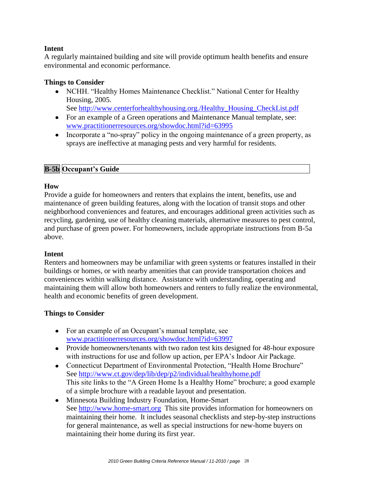# **Intent**

A regularly maintained building and site will provide optimum health benefits and ensure environmental and economic performance.

### **Things to Consider**

• NCHH. "Healthy Homes Maintenance Checklist." National Center for Healthy Housing, 2005.

See [http://www.centerforhealthyhousing.org./Healthy\\_Housing\\_CheckList.pdf](http://www.centerforhealthyhousing.org./Healthy_Housing_CheckList.pdf)

- For an example of a Green operations and Maintenance Manual template, see: [www.practitionerresources.org/showdoc.html?id=63995](http://www.practitionerresources.org/showdoc.html?id=63995)
- Incorporate a "no-spray" policy in the ongoing maintenance of a green property, as sprays are ineffective at managing pests and very harmful for residents.

# **B-5b Occupant's Guide**

# **How**

Provide a guide for homeowners and renters that explains the intent, benefits, use and maintenance of green building features, along with the location of transit stops and other neighborhood conveniences and features, and encourages additional green activities such as recycling, gardening, use of healthy cleaning materials, alternative measures to pest control, and purchase of green power. For homeowners, include appropriate instructions from B-5a above.

#### **Intent**

Renters and homeowners may be unfamiliar with green systems or features installed in their buildings or homes, or with nearby amenities that can provide transportation choices and conveniences within walking distance. Assistance with understanding, operating and maintaining them will allow both homeowners and renters to fully realize the environmental, health and economic benefits of green development.

- For an example of an Occupant's manual template, see [www.practitionerresources.org/showdoc.html?id=63997](http://www.practitionerresources.org/showdoc.html?id=63995)
- Provide homeowners/tenants with two radon test kits designed for 48-hour exposure with instructions for use and follow up action, per EPA's Indoor Air Package.
- Connecticut Department of Environmental Protection, "Health Home Brochure" See<http://www.ct.gov/dep/lib/dep/p2/individual/healthyhome.pdf> This site links to the "A Green Home Is a Healthy Home" brochure; a good example of a simple brochure with a readable layout and presentation.
- Minnesota Building Industry Foundation, Home-Smart See [http://www.home-smart.org](http://www.home-smart.org/) This site provides information for homeowners on maintaining their home. It includes seasonal checklists and step-by-step instructions for general maintenance, as well as special instructions for new-home buyers on maintaining their home during its first year.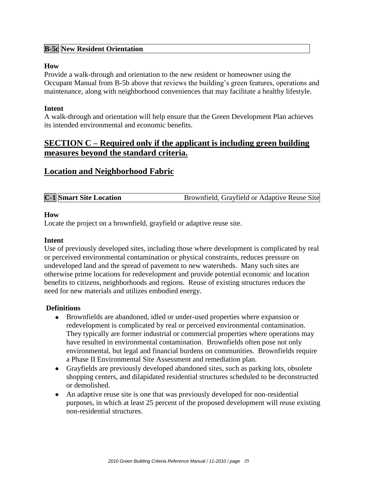# **B-5c New Resident Orientation**

#### **How**

Provide a walk-through and orientation to the new resident or homeowner using the Occupant Manual from B-5b above that reviews the building's green features, operations and maintenance, along with neighborhood conveniences that may facilitate a healthy lifestyle.

#### **Intent**

A walk-through and orientation will help ensure that the Green Development Plan achieves its intended environmental and economic benefits.

# **SECTION C – Required only if the applicant is including green building measures beyond the standard criteria.**

# **Location and Neighborhood Fabric**

| <b>C-1</b> Smart Site Location | Brownfield, Grayfield or Adaptive Reuse Site |
|--------------------------------|----------------------------------------------|
|--------------------------------|----------------------------------------------|

#### **How**

Locate the project on a brownfield, grayfield or adaptive reuse site.

#### **Intent**

Use of previously developed sites, including those where development is complicated by real or perceived environmental contamination or physical constraints, reduces pressure on undeveloped land and the spread of pavement to new watersheds. Many such sites are otherwise prime locations for redevelopment and provide potential economic and location benefits to citizens, neighborhoods and regions. Reuse of existing structures reduces the need for new materials and utilizes embodied energy.

#### **Definitions**

- Brownfields are abandoned, idled or under-used properties where expansion or redevelopment is complicated by real or perceived environmental contamination. They typically are former industrial or commercial properties where operations may have resulted in environmental contamination. Brownfields often pose not only environmental, but legal and financial burdens on communities. Brownfields require a Phase II Environmental Site Assessment and remediation plan.
- Grayfields are previously developed abandoned sites, such as parking lots, obsolete shopping centers, and dilapidated residential structures scheduled to be deconstructed or demolished.
- An adaptive reuse site is one that was previously developed for non-residential purposes, in which at least 25 percent of the proposed development will reuse existing non-residential structures.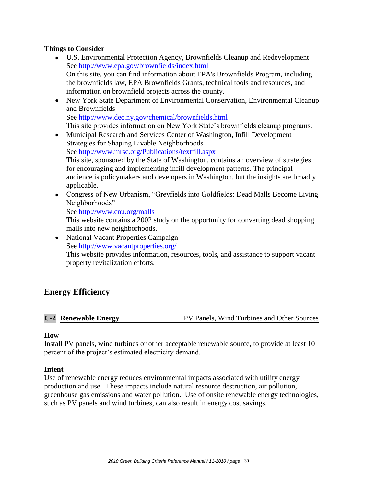# **Things to Consider**

- U.S. Environmental Protection Agency, Brownfields Cleanup and Redevelopment See<http://www.epa.gov/brownfields/index.html> On this site, you can find information about EPA's Brownfields Program, including the brownfields law, EPA Brownfields Grants, technical tools and resources, and information on brownfield projects across the county.
- New York State Department of Environmental Conservation, Environmental Cleanup and Brownfields See<http://www.dec.ny.gov/chemical/brownfields.html> This site provides information on New York State's brownfields cleanup programs.
- Municipal Research and Services Center of Washington, Infill Development Strategies for Shaping Livable Neighborhoods See<http://www.mrsc.org/Publications/textfill.aspx> This site, sponsored by the State of Washington, contains an overview of strategies for encouraging and implementing infill development patterns. The principal audience is policymakers and developers in Washington, but the insights are broadly applicable.
- Congress of New Urbanism, "Greyfields into Goldfields: Dead Malls Become Living Neighborhoods"
	- See<http://www.cnu.org/malls>

This website contains a 2002 study on the opportunity for converting dead shopping malls into new neighborhoods.

• National Vacant Properties Campaign See<http://www.vacantproperties.org/>

This website provides information, resources, tools, and assistance to support vacant property revitalization efforts.

# **Energy Efficiency**

|  |  | <b>C-2</b> Renewable Energy | PV Panels, Wind Turbines and Other Sources |
|--|--|-----------------------------|--------------------------------------------|
|--|--|-----------------------------|--------------------------------------------|

#### **How**

Install PV panels, wind turbines or other acceptable renewable source, to provide at least 10 percent of the project's estimated electricity demand.

#### **Intent**

Use of renewable energy reduces environmental impacts associated with utility energy production and use. These impacts include natural resource destruction, air pollution, greenhouse gas emissions and water pollution. Use of onsite renewable energy technologies, such as PV panels and wind turbines, can also result in energy cost savings.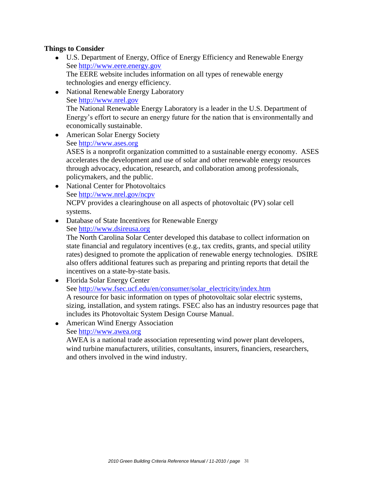# **Things to Consider**

- U.S. Department of Energy, Office of Energy Efficiency and Renewable Energy See [http://www.eere.energy.gov](http://www.eere.energy.gov/) The EERE website includes information on all types of renewable energy technologies and energy efficiency.
- National Renewable Energy Laboratory See [http://www.nrel.gov](http://www.nrel.gov/) The National Renewable Energy Laboratory is a leader in the U.S. Department of Energy's effort to secure an energy future for the nation that is environmentally and economically sustainable.
- American Solar Energy Society See [http://www.ases.org](http://www.ases.org/) ASES is a nonprofit organization committed to a sustainable energy economy. ASES accelerates the development and use of solar and other renewable energy resources through advocacy, education, research, and collaboration among professionals, policymakers, and the public.
- National Center for Photovoltaics See<http://www.nrel.gov/ncpv> NCPV provides a clearinghouse on all aspects of photovoltaic (PV) solar cell systems.
- Database of State Incentives for Renewable Energy

See [http://www.dsireusa.org](http://www.dsireusa.org/)

The North Carolina Solar Center developed this database to collect information on state financial and regulatory incentives (e.g., tax credits, grants, and special utility rates) designed to promote the application of renewable energy technologies. DSIRE also offers additional features such as preparing and printing reports that detail the incentives on a state-by-state basis.

- Florida Solar Energy Center See [http://www.fsec.ucf.edu/en/consumer/solar\\_electricity/index.htm](http://www.fsec.ucf.edu/en/consumer/solar_electricity/index.htm) A resource for basic information on types of photovoltaic solar electric systems, sizing, installation, and system ratings. FSEC also has an industry resources page that includes its Photovoltaic System Design Course Manual.
- American Wind Energy Association

#### See [http://www.awea.org](http://www.awea.org/)

AWEA is a national trade association representing wind power plant developers, wind turbine manufacturers, utilities, consultants, insurers, financiers, researchers, and others involved in the wind industry.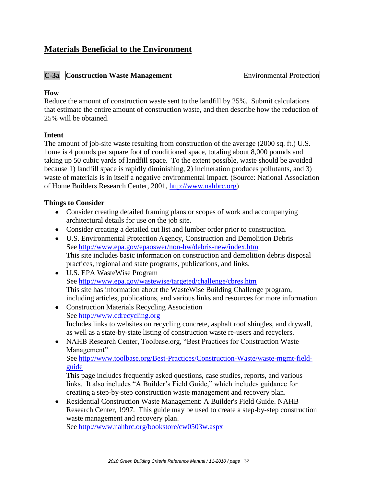# **Materials Beneficial to the Environment**

# **C-3a Construction Waste Management Environmental Protection**

#### **How**

Reduce the amount of construction waste sent to the landfill by 25%. Submit calculations that estimate the entire amount of construction waste, and then describe how the reduction of 25% will be obtained.

# **Intent**

The amount of job-site waste resulting from construction of the average (2000 sq. ft.) U.S. home is 4 pounds per square foot of conditioned space, totaling about 8,000 pounds and taking up 50 cubic yards of landfill space. To the extent possible, waste should be avoided because 1) landfill space is rapidly diminishing, 2) incineration produces pollutants, and 3) waste of materials is in itself a negative environmental impact. (Source: National Association of Home Builders Research Center, 2001, [http://www.nahbrc.org\)](http://www.nahbrc.org/)

# **Things to Consider**

- Consider creating detailed framing plans or scopes of work and accompanying architectural details for use on the job site.
- Consider creating a detailed cut list and lumber order prior to construction.
- U.S. Environmental Protection Agency, Construction and Demolition Debris See<http://www.epa.gov/epaoswer/non-hw/debris-new/index.htm> This site includes basic information on construction and demolition debris disposal practices, regional and state programs, publications, and links.
- U.S. EPA WasteWise Program See<http://www.epa.gov/wastewise/targeted/challenge/cbres.htm> This site has information about the WasteWise Building Challenge program, including articles, publications, and various links and resources for more information.
- Construction Materials Recycling Association See [http://www.cdrecycling.org](http://www.cdrecycling.org/) Includes links to websites on recycling concrete, asphalt roof shingles, and drywall, as well as a state-by-state listing of construction waste re-users and recyclers.
- NAHB Research Center, Toolbase.org, "Best Practices for Construction Waste Management"

See [http://www.toolbase.org/Best-Practices/Construction-Waste/waste-mgmt-field](http://www.toolbase.org/Best-Practices/Construction-Waste/waste-mgmt-field-guide)[guide](http://www.toolbase.org/Best-Practices/Construction-Waste/waste-mgmt-field-guide)

This page includes frequently asked questions, case studies, reports, and various links. It also includes "A Builder's Field Guide," which includes guidance for creating a step-by-step construction waste management and recovery plan.

Residential Construction Waste Management: A Builder's Field Guide. NAHB Research Center, 1997. This guide may be used to create a step-by-step construction waste management and recovery plan.

See<http://www.nahbrc.org/bookstore/cw0503w.aspx>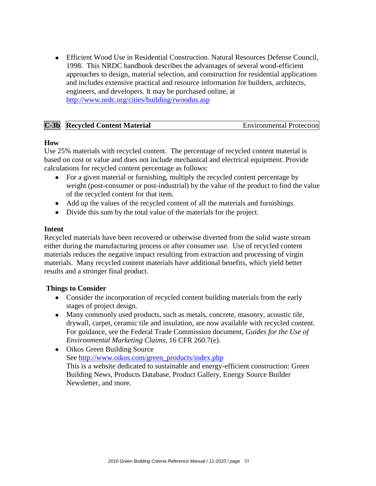Efficient Wood Use in Residential Construction. Natural Resources Defense Council, 1998. This NRDC handbook describes the advantages of several wood-efficient approaches to design, material selection, and construction for residential applications and includes extensive practical and resource information for builders, architects, engineers, and developers. It may be purchased online, at <http://www.nrdc.org/cities/building/rwoodus.asp>

| $C-3b$ | <b>Recycled Content Material</b> | <b>Environmental Protection</b> |
|--------|----------------------------------|---------------------------------|
|--------|----------------------------------|---------------------------------|

#### **How**

Use 25% materials with recycled content. The percentage of recycled content material is based on cost or value and does not include mechanical and electrical equipment. Provide calculations for recycled content percentage as follows:

- For a given material or furnishing, multiply the recycled content percentage by weight (post-consumer or post-industrial) by the value of the product to find the value of the recycled content for that item.
- Add up the values of the recycled content of all the materials and furnishings.
- Divide this sum by the total value of the materials for the project.

#### **Intent**

Recycled materials have been recovered or otherwise diverted from the solid waste stream either during the manufacturing process or after consumer use. Use of recycled content materials reduces the negative impact resulting from extraction and processing of virgin materials. Many recycled content materials have additional benefits, which yield better results and a stronger final product.

- Consider the incorporation of recycled content building materials from the early stages of project design.
- Many commonly used products, such as metals, concrete, masonry, acoustic tile, drywall, carpet, ceramic tile and insulation, are now available with recycled content. For guidance, see the Federal Trade Commission document, *Guides for the Use of Environmental Marketing Claims*, 16 CFR 260.7(e).
- Oikos Green Building Source See [http://www.oikos.com/green\\_products/index.php](http://www.oikos.com/green_products/index.php) This is a website dedicated to sustainable and energy-efficient construction: Green Building News, Products Database, Product Gallery, Energy Source Builder Newsletter, and more.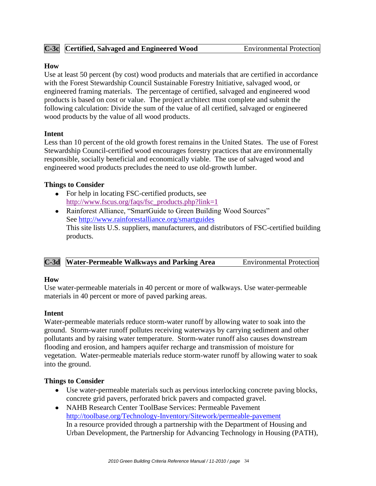# **C-3c Certified, Salvaged and Engineered Wood** Environmental Protection

### **How**

Use at least 50 percent (by cost) wood products and materials that are certified in accordance with the Forest Stewardship Council Sustainable Forestry Initiative, salvaged wood, or engineered framing materials. The percentage of certified, salvaged and engineered wood products is based on cost or value. The project architect must complete and submit the following calculation: Divide the sum of the value of all certified, salvaged or engineered wood products by the value of all wood products.

# **Intent**

Less than 10 percent of the old growth forest remains in the United States. The use of Forest Stewardship Council-certified wood encourages forestry practices that are environmentally responsible, socially beneficial and economically viable. The use of salvaged wood and engineered wood products precludes the need to use old-growth lumber.

# **Things to Consider**

- For help in locating FSC-certified products, see [http://www.fscus.org/faqs/fsc\\_products.php?link=1](http://www.fscus.org/faqs/fsc_products.php?link=1)
- Rainforest Alliance, "SmartGuide to Green Building Wood Sources" See<http://www.rainforestalliance.org/smartguides> This site lists U.S. suppliers, manufacturers, and distributors of FSC-certified building products.

|  | <b>C-3d</b> Water-Permeable Walkways and Parking Area | <b>Environmental Protection</b> |
|--|-------------------------------------------------------|---------------------------------|
|--|-------------------------------------------------------|---------------------------------|

#### **How**

Use water-permeable materials in 40 percent or more of walkways. Use water-permeable materials in 40 percent or more of paved parking areas.

# **Intent**

Water-permeable materials reduce storm-water runoff by allowing water to soak into the ground. Storm-water runoff pollutes receiving waterways by carrying sediment and other pollutants and by raising water temperature. Storm-water runoff also causes downstream flooding and erosion, and hampers aquifer recharge and transmission of moisture for vegetation. Water-permeable materials reduce storm-water runoff by allowing water to soak into the ground.

- Use water-permeable materials such as pervious interlocking concrete paving blocks, concrete grid pavers, perforated brick pavers and compacted gravel.
- NAHB Research Center ToolBase Services: Permeable Pavement <http://toolbase.org/Technology-Inventory/Sitework/permeable-pavement> In a resource provided through a partnership with the Department of Housing and Urban Development, the Partnership for Advancing Technology in Housing (PATH),